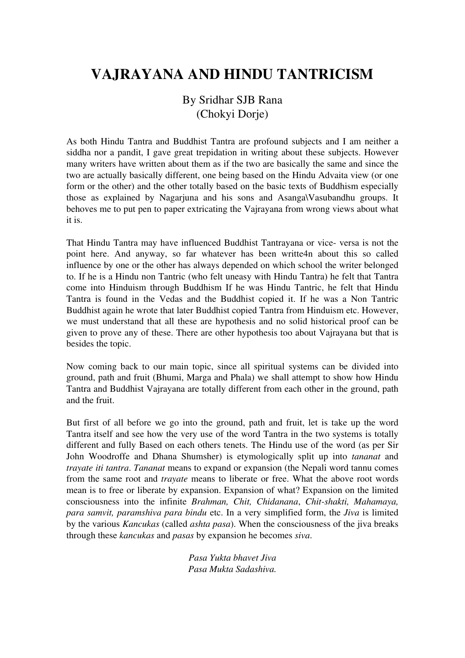# **VAJRAYANA AND HINDU TANTRICISM**

By Sridhar SJB Rana (Chokyi Dorje)

As both Hindu Tantra and Buddhist Tantra are profound subjects and I am neither a siddha nor a pandit, I gave great trepidation in writing about these subjects. However many writers have written about them as if the two are basically the same and since the two are actually basically different, one being based on the Hindu Advaita view (or one form or the other) and the other totally based on the basic texts of Buddhism especially those as explained by Nagarjuna and his sons and Asanga\Vasubandhu groups. It behoves me to put pen to paper extricating the Vajrayana from wrong views about what it is.

That Hindu Tantra may have influenced Buddhist Tantrayana or vice- versa is not the point here. And anyway, so far whatever has been writte4n about this so called influence by one or the other has always depended on which school the writer belonged to. If he is a Hindu non Tantric (who felt uneasy with Hindu Tantra) he felt that Tantra come into Hinduism through Buddhism If he was Hindu Tantric, he felt that Hindu Tantra is found in the Vedas and the Buddhist copied it. If he was a Non Tantric Buddhist again he wrote that later Buddhist copied Tantra from Hinduism etc. However, we must understand that all these are hypothesis and no solid historical proof can be given to prove any of these. There are other hypothesis too about Vajrayana but that is besides the topic.

Now coming back to our main topic, since all spiritual systems can be divided into ground, path and fruit (Bhumi, Marga and Phala) we shall attempt to show how Hindu Tantra and Buddhist Vajrayana are totally different from each other in the ground, path and the fruit.

But first of all before we go into the ground, path and fruit, let is take up the word Tantra itself and see how the very use of the word Tantra in the two systems is totally different and fully Based on each others tenets. The Hindu use of the word (as per Sir John Woodroffe and Dhana Shumsher) is etymologically split up into *tananat* and *trayate iti tantra*. *Tananat* means to expand or expansion (the Nepali word tannu comes from the same root and *trayate* means to liberate or free. What the above root words mean is to free or liberate by expansion. Expansion of what? Expansion on the limited consciousness into the infinite *Brahman, Chit, Chidanana*, *Chit-shakti, Mahamaya, para samvit, paramshiva para bindu* etc. In a very simplified form, the *Jiva* is limited by the various *Kancukas* (called *ashta pasa*). When the consciousness of the jiva breaks through these *kancukas* and *pasas* by expansion he becomes *siva*.

> *Pasa Yukta bhavet Jiva Pasa Mukta Sadashiva.*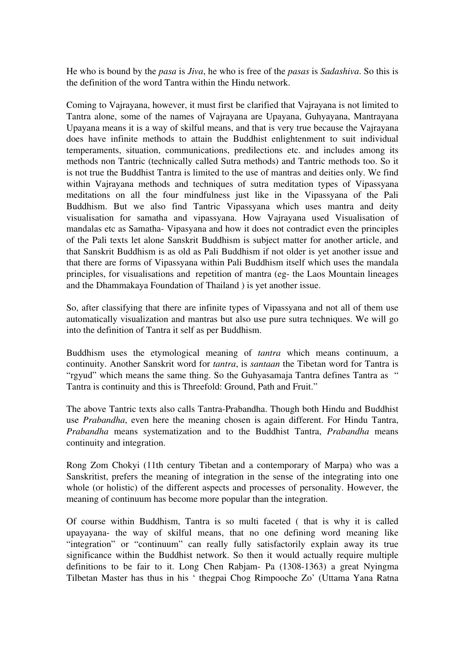He who is bound by the *pasa* is *Jiva*, he who is free of the *pasas* is *Sadashiva*. So this is the definition of the word Tantra within the Hindu network.

Coming to Vajrayana, however, it must first be clarified that Vajrayana is not limited to Tantra alone, some of the names of Vajrayana are Upayana, Guhyayana, Mantrayana Upayana means it is a way of skilful means, and that is very true because the Vajrayana does have infinite methods to attain the Buddhist enlightenment to suit individual temperaments, situation, communications, predilections etc. and includes among its methods non Tantric (technically called Sutra methods) and Tantric methods too. So it is not true the Buddhist Tantra is limited to the use of mantras and deities only. We find within Vajrayana methods and techniques of sutra meditation types of Vipassyana meditations on all the four mindfulness just like in the Vipassyana of the Pali Buddhism. But we also find Tantric Vipassyana which uses mantra and deity visualisation for samatha and vipassyana. How Vajrayana used Visualisation of mandalas etc as Samatha- Vipasyana and how it does not contradict even the principles of the Pali texts let alone Sanskrit Buddhism is subject matter for another article, and that Sanskrit Buddhism is as old as Pali Buddhism if not older is yet another issue and that there are forms of Vipassyana within Pali Buddhism itself which uses the mandala principles, for visualisations and repetition of mantra (eg- the Laos Mountain lineages and the Dhammakaya Foundation of Thailand ) is yet another issue.

So, after classifying that there are infinite types of Vipassyana and not all of them use automatically visualization and mantras but also use pure sutra techniques. We will go into the definition of Tantra it self as per Buddhism.

Buddhism uses the etymological meaning of *tantra* which means continuum, a continuity. Another Sanskrit word for *tantra*, is *santaan* the Tibetan word for Tantra is "rgyud" which means the same thing. So the Guhyasamaja Tantra defines Tantra as " Tantra is continuity and this is Threefold: Ground, Path and Fruit."

The above Tantric texts also calls Tantra-Prabandha. Though both Hindu and Buddhist use *Prabandha*, even here the meaning chosen is again different. For Hindu Tantra, *Prabandha* means systematization and to the Buddhist Tantra, *Prabandha* means continuity and integration.

Rong Zom Chokyi (11th century Tibetan and a contemporary of Marpa) who was a Sanskritist, prefers the meaning of integration in the sense of the integrating into one whole (or holistic) of the different aspects and processes of personality. However, the meaning of continuum has become more popular than the integration.

Of course within Buddhism, Tantra is so multi faceted ( that is why it is called upayayana- the way of skilful means, that no one defining word meaning like "integration" or "continuum" can really fully satisfactorily explain away its true significance within the Buddhist network. So then it would actually require multiple definitions to be fair to it. Long Chen Rabjam- Pa (1308-1363) a great Nyingma Tilbetan Master has thus in his ' thegpai Chog Rimpooche Zo' (Uttama Yana Ratna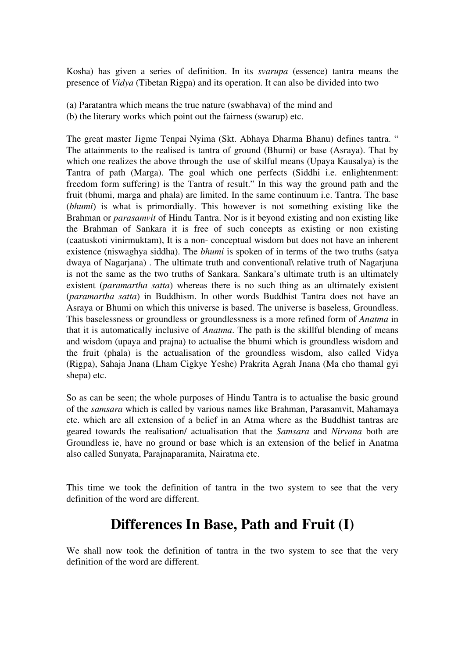Kosha) has given a series of definition. In its *svarupa* (essence) tantra means the presence of *Vidya* (Tibetan Rigpa) and its operation. It can also be divided into two

(a) Paratantra which means the true nature (swabhava) of the mind and (b) the literary works which point out the fairness (swarup) etc.

The great master Jigme Tenpai Nyima (Skt. Abhaya Dharma Bhanu) defines tantra. " The attainments to the realised is tantra of ground (Bhumi) or base (Asraya). That by which one realizes the above through the use of skilful means (Upaya Kausalya) is the Tantra of path (Marga). The goal which one perfects (Siddhi i.e. enlightenment: freedom form suffering) is the Tantra of result." In this way the ground path and the fruit (bhumi, marga and phala) are limited. In the same continuum i.e. Tantra. The base (*bhumi*) is what is primordially. This however is not something existing like the Brahman or *parasamvit* of Hindu Tantra. Nor is it beyond existing and non existing like the Brahman of Sankara it is free of such concepts as existing or non existing (caatuskoti vinirmuktam), It is a non- conceptual wisdom but does not have an inherent existence (niswaghya siddha). The *bhumi* is spoken of in terms of the two truths (satya dwaya of Nagarjana) . The ultimate truth and conventional\ relative truth of Nagarjuna is not the same as the two truths of Sankara. Sankara's ultimate truth is an ultimately existent (*paramartha satta*) whereas there is no such thing as an ultimately existent (*paramartha satta*) in Buddhism. In other words Buddhist Tantra does not have an Asraya or Bhumi on which this universe is based. The universe is baseless, Groundless. This baselessness or groundless or groundlessness is a more refined form of *Anatma* in that it is automatically inclusive of *Anatma*. The path is the skillful blending of means and wisdom (upaya and prajna) to actualise the bhumi which is groundless wisdom and the fruit (phala) is the actualisation of the groundless wisdom, also called Vidya (Rigpa), Sahaja Jnana (Lham Cigkye Yeshe) Prakrita Agrah Jnana (Ma cho thamal gyi shepa) etc.

So as can be seen; the whole purposes of Hindu Tantra is to actualise the basic ground of the *samsara* which is called by various names like Brahman, Parasamvit, Mahamaya etc. which are all extension of a belief in an Atma where as the Buddhist tantras are geared towards the realisation/ actualisation that the *Samsara* and *Nirvana* both are Groundless ie, have no ground or base which is an extension of the belief in Anatma also called Sunyata, Parajnaparamita, Nairatma etc.

This time we took the definition of tantra in the two system to see that the very definition of the word are different.

# **Differences In Base, Path and Fruit (I)**

We shall now took the definition of tantra in the two system to see that the very definition of the word are different.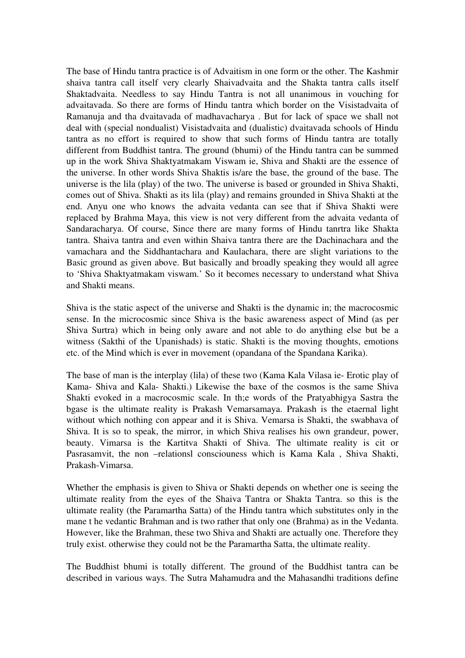The base of Hindu tantra practice is of Advaitism in one form or the other. The Kashmir shaiva tantra call itself very clearly Shaivadvaita and the Shakta tantra calls itself Shaktadvaita. Needless to say Hindu Tantra is not all unanimous in vouching for advaitavada. So there are forms of Hindu tantra which border on the Visistadvaita of Ramanuja and tha dvaitavada of madhavacharya . But for lack of space we shall not deal with (special nondualist) Visistadvaita and (dualistic) dvaitavada schools of Hindu tantra as no effort is required to show that such forms of Hindu tantra are totally different from Buddhist tantra. The ground (bhumi) of the Hindu tantra can be summed up in the work Shiva Shaktyatmakam Viswam ie, Shiva and Shakti are the essence of the universe. In other words Shiva Shaktis is/are the base, the ground of the base. The universe is the lila (play) of the two. The universe is based or grounded in Shiva Shakti, comes out of Shiva. Shakti as its lila (play) and remains grounded in Shiva Shakti at the end. Anyu one who knows the advaita vedanta can see that if Shiva Shakti were replaced by Brahma Maya, this view is not very different from the advaita vedanta of Sandaracharya. Of course, Since there are many forms of Hindu tanrtra like Shakta tantra. Shaiva tantra and even within Shaiva tantra there are the Dachinachara and the vamachara and the Siddhantachara and Kaulachara, there are slight variations to the Basic ground as given above. But basically and broadly speaking they would all agree to 'Shiva Shaktyatmakam viswam.' So it becomes necessary to understand what Shiva and Shakti means.

Shiva is the static aspect of the universe and Shakti is the dynamic in; the macrocosmic sense. In the microcosmic since Shiva is the basic awareness aspect of Mind (as per Shiva Surtra) which in being only aware and not able to do anything else but be a witness (Sakthi of the Upanishads) is static. Shakti is the moving thoughts, emotions etc. of the Mind which is ever in movement (opandana of the Spandana Karika).

The base of man is the interplay (lila) of these two (Kama Kala Vilasa ie- Erotic play of Kama- Shiva and Kala- Shakti.) Likewise the baxe of the cosmos is the same Shiva Shakti evoked in a macrocosmic scale. In th;e words of the Pratyabhigya Sastra the bgase is the ultimate reality is Prakash Vemarsamaya. Prakash is the etaernal light without which nothing con appear and it is Shiva. Vemarsa is Shakti, the swabhava of Shiva. It is so to speak, the mirror, in which Shiva realises his own grandeur, power, beauty. Vimarsa is the Kartitva Shakti of Shiva. The ultimate reality is cit or Pasrasamvit, the non –relationsl consciouness which is Kama Kala , Shiva Shakti, Prakash-Vimarsa.

Whether the emphasis is given to Shiva or Shakti depends on whether one is seeing the ultimate reality from the eyes of the Shaiva Tantra or Shakta Tantra. so this is the ultimate reality (the Paramartha Satta) of the Hindu tantra which substitutes only in the mane t he vedantic Brahman and is two rather that only one (Brahma) as in the Vedanta. However, like the Brahman, these two Shiva and Shakti are actually one. Therefore they truly exist. otherwise they could not be the Paramartha Satta, the ultimate reality.

The Buddhist bhumi is totally different. The ground of the Buddhist tantra can be described in various ways. The Sutra Mahamudra and the Mahasandhi traditions define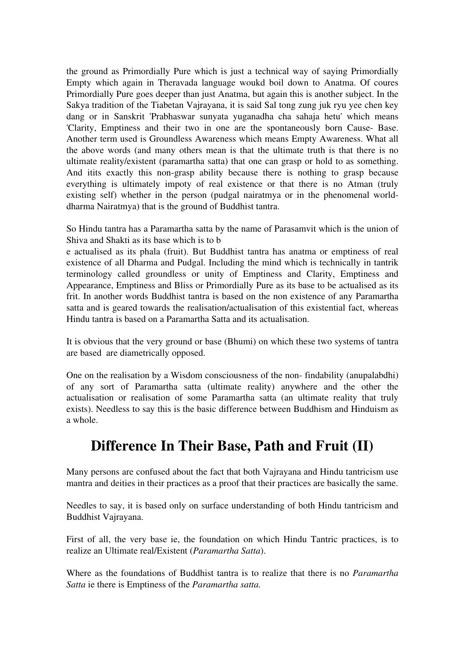the ground as Primordially Pure which is just a technical way of saying Primordially Empty which again in Theravada language woukd boil down to Anatma. Of coures Primordially Pure goes deeper than just Anatma, but again this is another subject. In the Sakya tradition of the Tiabetan Vajrayana, it is said Sal tong zung juk ryu yee chen key dang or in Sanskrit 'Prabhaswar sunyata yuganadha cha sahaja hetu' which means 'Clarity, Emptiness and their two in one are the spontaneously born Cause- Base. Another term used is Groundless Awareness which means Empty Awareness. What all the above words (and many others mean is that the ultimate truth is that there is no ultimate reality/existent (paramartha satta) that one can grasp or hold to as something. And itits exactly this non-grasp ability because there is nothing to grasp because everything is ultimately impoty of real existence or that there is no Atman (truly existing self) whether in the person (pudgal nairatmya or in the phenomenal worlddharma Nairatmya) that is the ground of Buddhist tantra.

So Hindu tantra has a Paramartha satta by the name of Parasamvit which is the union of Shiva and Shakti as its base which is to b

e actualised as its phala (fruit). But Buddhist tantra has anatma or emptiness of real existence of all Dharma and Pudgal. Including the mind which is technically in tantrik terminology called groundless or unity of Emptiness and Clarity, Emptiness and Appearance, Emptiness and Bliss or Primordially Pure as its base to be actualised as its frit. In another words Buddhist tantra is based on the non existence of any Paramartha satta and is geared towards the realisation/actualisation of this existential fact, whereas Hindu tantra is based on a Paramartha Satta and its actualisation.

It is obvious that the very ground or base (Bhumi) on which these two systems of tantra are based are diametrically opposed.

One on the realisation by a Wisdom consciousness of the non- findability (anupalabdhi) of any sort of Paramartha satta (ultimate reality) anywhere and the other the actualisation or realisation of some Paramartha satta (an ultimate reality that truly exists). Needless to say this is the basic difference between Buddhism and Hinduism as a whole.

# **Difference In Their Base, Path and Fruit (II)**

Many persons are confused about the fact that both Vajrayana and Hindu tantricism use mantra and deities in their practices as a proof that their practices are basically the same.

Needles to say, it is based only on surface understanding of both Hindu tantricism and Buddhist Vajrayana.

First of all, the very base ie, the foundation on which Hindu Tantric practices, is to realize an Ultimate real/Existent (*Paramartha Satta*).

Where as the foundations of Buddhist tantra is to realize that there is no *Paramartha Satta* ie there is Emptiness of the *Paramartha satta.*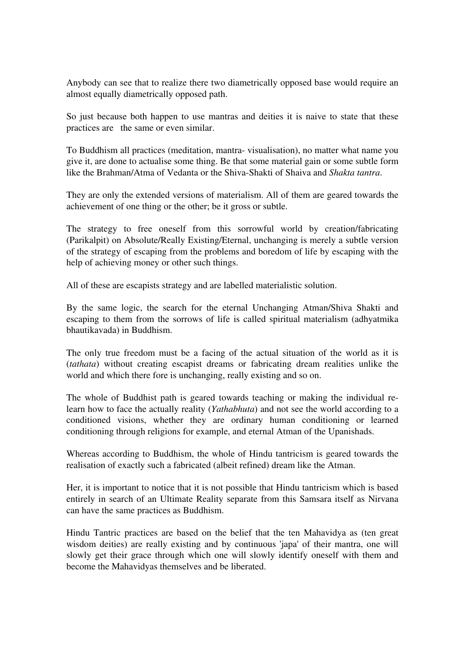Anybody can see that to realize there two diametrically opposed base would require an almost equally diametrically opposed path.

So just because both happen to use mantras and deities it is naive to state that these practices are the same or even similar.

To Buddhism all practices (meditation, mantra- visualisation), no matter what name you give it, are done to actualise some thing. Be that some material gain or some subtle form like the Brahman/Atma of Vedanta or the Shiva-Shakti of Shaiva and *Shakta tantra*.

They are only the extended versions of materialism. All of them are geared towards the achievement of one thing or the other; be it gross or subtle.

The strategy to free oneself from this sorrowful world by creation/fabricating (Parikalpit) on Absolute/Really Existing/Eternal, unchanging is merely a subtle version of the strategy of escaping from the problems and boredom of life by escaping with the help of achieving money or other such things.

All of these are escapists strategy and are labelled materialistic solution.

By the same logic, the search for the eternal Unchanging Atman/Shiva Shakti and escaping to them from the sorrows of life is called spiritual materialism (adhyatmika bhautikavada) in Buddhism.

The only true freedom must be a facing of the actual situation of the world as it is (*tathata*) without creating escapist dreams or fabricating dream realities unlike the world and which there fore is unchanging, really existing and so on.

The whole of Buddhist path is geared towards teaching or making the individual relearn how to face the actually reality (*Yathabhuta*) and not see the world according to a conditioned visions, whether they are ordinary human conditioning or learned conditioning through religions for example, and eternal Atman of the Upanishads.

Whereas according to Buddhism, the whole of Hindu tantricism is geared towards the realisation of exactly such a fabricated (albeit refined) dream like the Atman.

Her, it is important to notice that it is not possible that Hindu tantricism which is based entirely in search of an Ultimate Reality separate from this Samsara itself as Nirvana can have the same practices as Buddhism.

Hindu Tantric practices are based on the belief that the ten Mahavidya as (ten great wisdom deities) are really existing and by continuous 'japa' of their mantra, one will slowly get their grace through which one will slowly identify oneself with them and become the Mahavidyas themselves and be liberated.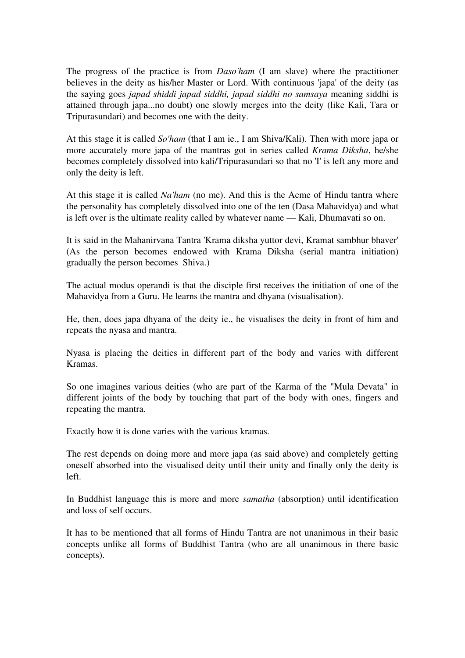The progress of the practice is from *Daso'ham* (I am slave) where the practitioner believes in the deity as his/her Master or Lord. With continuous 'japa' of the deity (as the saying goes *japad shiddi japad siddhi, japad siddhi no samsaya* meaning siddhi is attained through japa...no doubt) one slowly merges into the deity (like Kali, Tara or Tripurasundari) and becomes one with the deity.

At this stage it is called *So'ham* (that I am ie., I am Shiva/Kali). Then with more japa or more accurately more japa of the mantras got in series called *Krama Diksha*, he/she becomes completely dissolved into kali/Tripurasundari so that no 'I' is left any more and only the deity is left.

At this stage it is called *Na'ham* (no me). And this is the Acme of Hindu tantra where the personality has completely dissolved into one of the ten (Dasa Mahavidya) and what is left over is the ultimate reality called by whatever name — Kali, Dhumavati so on.

It is said in the Mahanirvana Tantra 'Krama diksha yuttor devi, Kramat sambhur bhaver' (As the person becomes endowed with Krama Diksha (serial mantra initiation) gradually the person becomes Shiva.)

The actual modus operandi is that the disciple first receives the initiation of one of the Mahavidya from a Guru. He learns the mantra and dhyana (visualisation).

He, then, does japa dhyana of the deity ie., he visualises the deity in front of him and repeats the nyasa and mantra.

Nyasa is placing the deities in different part of the body and varies with different Kramas.

So one imagines various deities (who are part of the Karma of the "Mula Devata" in different joints of the body by touching that part of the body with ones, fingers and repeating the mantra.

Exactly how it is done varies with the various kramas.

The rest depends on doing more and more japa (as said above) and completely getting oneself absorbed into the visualised deity until their unity and finally only the deity is left.

In Buddhist language this is more and more *samatha* (absorption) until identification and loss of self occurs.

It has to be mentioned that all forms of Hindu Tantra are not unanimous in their basic concepts unlike all forms of Buddhist Tantra (who are all unanimous in there basic concepts).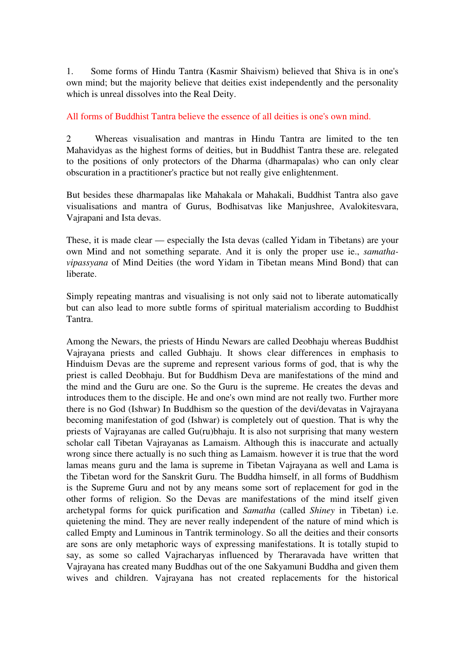1. Some forms of Hindu Tantra (Kasmir Shaivism) believed that Shiva is in one's own mind; but the majority believe that deities exist independently and the personality which is unreal dissolves into the Real Deity.

All forms of Buddhist Tantra believe the essence of all deities is one's own mind.

2 Whereas visualisation and mantras in Hindu Tantra are limited to the ten Mahavidyas as the highest forms of deities, but in Buddhist Tantra these are. relegated to the positions of only protectors of the Dharma (dharmapalas) who can only clear obscuration in a practitioner's practice but not really give enlightenment.

But besides these dharmapalas like Mahakala or Mahakali, Buddhist Tantra also gave visualisations and mantra of Gurus, Bodhisatvas like Manjushree, Avalokitesvara, Vajrapani and Ista devas.

These, it is made clear — especially the Ista devas (called Yidam in Tibetans) are your own Mind and not something separate. And it is only the proper use ie., *samathavipassyana* of Mind Deities (the word Yidam in Tibetan means Mind Bond) that can liberate.

Simply repeating mantras and visualising is not only said not to liberate automatically but can also lead to more subtle forms of spiritual materialism according to Buddhist Tantra.

Among the Newars, the priests of Hindu Newars are called Deobhaju whereas Buddhist Vajrayana priests and called Gubhaju. It shows clear differences in emphasis to Hinduism Devas are the supreme and represent various forms of god, that is why the priest is called Deobhaju. But for Buddhism Deva are manifestations of the mind and the mind and the Guru are one. So the Guru is the supreme. He creates the devas and introduces them to the disciple. He and one's own mind are not really two. Further more there is no God (Ishwar) In Buddhism so the question of the devi/devatas in Vajrayana becoming manifestation of god (Ishwar) is completely out of question. That is why the priests of Vajrayanas are called Gu(ru)bhaju. It is also not surprising that many western scholar call Tibetan Vajrayanas as Lamaism. Although this is inaccurate and actually wrong since there actually is no such thing as Lamaism. however it is true that the word lamas means guru and the lama is supreme in Tibetan Vajrayana as well and Lama is the Tibetan word for the Sanskrit Guru. The Buddha himself, in all forms of Buddhism is the Supreme Guru and not by any means some sort of replacement for god in the other forms of religion. So the Devas are manifestations of the mind itself given archetypal forms for quick purification and *Samatha* (called *Shiney* in Tibetan) i.e. quietening the mind. They are never really independent of the nature of mind which is called Empty and Luminous in Tantrik terminology. So all the deities and their consorts are sons are only metaphoric ways of expressing manifestations. It is totally stupid to say, as some so called Vajracharyas influenced by Theraravada have written that Vajrayana has created many Buddhas out of the one Sakyamuni Buddha and given them wives and children. Vajrayana has not created replacements for the historical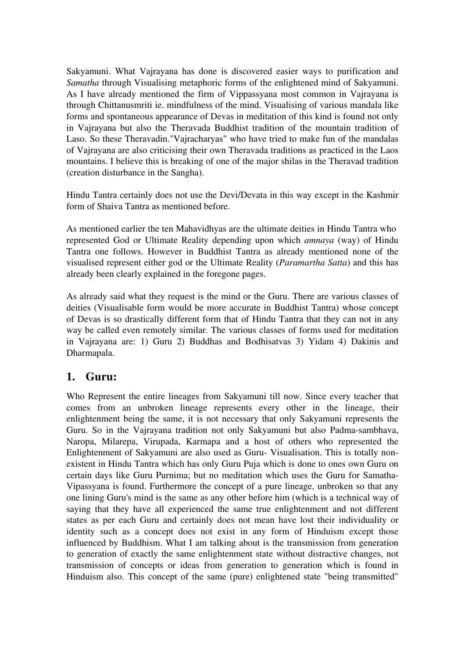Sakyamuni. What Vajrayana has done is discovered easier ways to purification and *Samatha* through Visualising metaphoric forms of the enlightened mind of Sakyamuni. As I have already mentioned the firm of Vippassyana most common in Vajrayana is through Chittanusmriti ie. mindfulness of the mind. Visualising of various mandala like forms and spontaneous appearance of Devas in meditation of this kind is found not only in Vajrayana but also the Theravada Buddhist tradition of the mountain tradition of Laso. So these Theravadin."Vajracharyas" who have tried to make fun of the mandalas of Vajrayana are also criticising their own Theravada traditions as practiced in the Laos mountains. I believe this is breaking of one of the major shilas in the Theravad tradition (creation disturbance in the Sangha).

Hindu Tantra certainly does not use the Devi/Devata in this way except in the Kashmir form of Shaiva Tantra as mentioned before.

As mentioned earlier the ten Mahavidhyas are the ultimate deities in Hindu Tantra who represented God or Ultimate Reality depending upon which *amnaya* (way) of Hindu Tantra one follows. However in Buddhist Tantra as already mentioned none of the visualised represent either god or the Ultimate Reality (*Paramartha Satta*) and this has already been clearly explained in the foregone pages.

As already said what they request is the mind or the Guru. There are various classes of deities (Visualisable form would be more accurate in Buddhist Tantra) whose concept of Devas is so drastically different form that of Hindu Tantra that they can not in any way be called even remotely similar. The various classes of forms used for meditation in Vajrayana are: 1) Guru 2) Buddhas and Bodhisatvas 3) Yidam 4) Dakinis and Dharmapala.

#### **1. Guru:**

Who Represent the entire lineages from Sakyamuni till now. Since every teacher that comes from an unbroken lineage represents every other in the lineage, their enlightenment being the same, it is not necessary that only Sakyamuni represents the Guru. So in the Vajrayana tradition not only Sakyamuni but also Padma-sambhava, Naropa, Milarepa, Virupada, Karmapa and a host of others who represented the Enlightenment of Sakyamuni are also used as Guru- Visualisation. This is totally nonexistent in Hindu Tantra which has only Guru Puja which is done to ones own Guru on certain days like Guru Purnima; but no meditation which uses the Guru for Samatha-Vipassyana is found. Furthermore the concept of a pure lineage, unbroken so that any one lining Guru's mind is the same as any other before him (which is a technical way of saying that they have all experienced the same true enlightenment and not different states as per each Guru and certainly does not mean have lost their individuality or identity such as a concept does not exist in any form of Hinduism except those influenced by Buddhism. What I am talking about is the transmission from generation to generation of exactly the same enlightenment state without distractive changes, not transmission of concepts or ideas from generation to generation which is found in Hinduism also. This concept of the same (pure) enlightened state "being transmitted"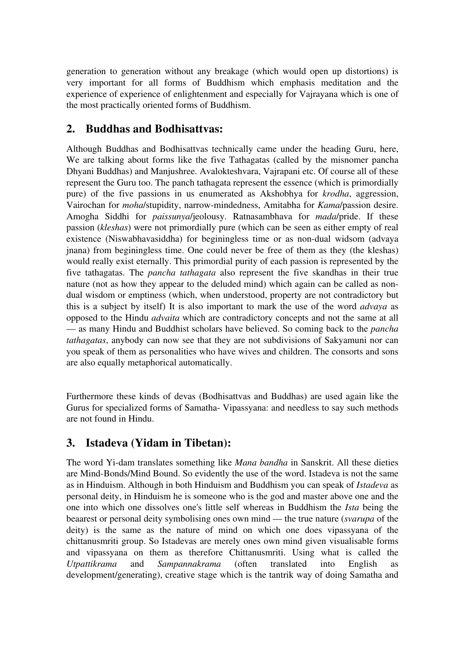generation to generation without any breakage (which would open up distortions) is very important for all forms of Buddhism which emphasis meditation and the experience of experience of enlightenment and especially for Vajrayana which is one of the most practically oriented forms of Buddhism.

### **2. Buddhas and Bodhisattvas:**

Although Buddhas and Bodhisattvas technically came under the heading Guru, here, We are talking about forms like the five Tathagatas (called by the misnomer pancha Dhyani Buddhas) and Manjushree. Avalokteshvara, Vajrapani etc. Of course all of these represent the Guru too. The panch tathagata represent the essence (which is primordially pure) of the five passions in us enumerated as Akshobhya for *krodha*, aggression, Vairochan for *moha*/stupidity, narrow-mindedness, Amitabha for *Kama*/passion desire. Amogha Siddhi for *paissunya*/jeolousy. Ratnasambhava for *mada*/pride. If these passion (*kleshas*) were not primordially pure (which can be seen as either empty of real existence (Niswabhavasiddha) for beginingless time or as non-dual widsom (advaya jnana) from beginingless time. One could never be free of them as they (the kleshas) would really exist eternally. This primordial purity of each passion is represented by the five tathagatas. The *pancha tathagata* also represent the five skandhas in their true nature (not as how they appear to the deluded mind) which again can be called as nondual wisdom or emptiness (which, when understood, property are not contradictory but this is a subject by itself) It is also important to mark the use of the word *advaya* as opposed to the Hindu *advaita* which are contradictory concepts and not the same at all — as many Hindu and Buddhist scholars have believed. So coming back to the *pancha tathagatas*, anybody can now see that they are not subdivisions of Sakyamuni nor can you speak of them as personalities who have wives and children. The consorts and sons are also equally metaphorical automatically.

Furthermore these kinds of devas (Bodhisattvas and Buddhas) are used again like the Gurus for specialized forms of Samatha- Vipassyana: and needless to say such methods are not found in Hindu.

## **3. Istadeva (Yidam in Tibetan):**

The word Yi-dam translates something like *Mana bandha* in Sanskrit. All these dieties are Mind-Bonds/Mind Bound. So evidently the use of the word. Istadeva is not the same as in Hinduism. Although in both Hinduism and Buddhism you can speak of *Istadeva* as personal deity, in Hinduism he is someone who is the god and master above one and the one into which one dissolves one's little self whereas in Buddhism the *Ista* being the beaarest or personal deity symbolising ones own mind — the true nature (*svarupa* of the deity) is the same as the nature of mind on which one does vipassyana of the chittanusmriti group. So Istadevas are merely ones own mind given visualisable forms and vipassyana on them as therefore Chittanusmriti. Using what is called the *Utpattikrama* and *Sampannakrama* (often translated into English as development/generating), creative stage which is the tantrik way of doing Samatha and